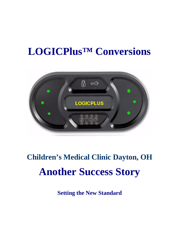# **LOGICPlus™ Conversions**



# **Children's Medical Clinic Dayton, OH Another Success Story**

**Setting the New Standard**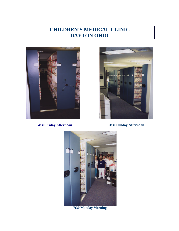## **CHILDREN'S MEDICAL CLINIC DAYTON OHIO**



**4:30 Friday Afternoon 3:30 Sunday Afternoon**



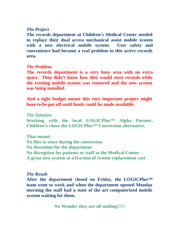#### *The Project*

**The records department at Children's Medical Center needed to replace their dual access mechanical assist mobile system with a new electrical mobile system. User safety and convenience had become a real problem in this active records area.** 

### *The Problem*

**The records department is a very busy area with no extra space. They didn't know how they would store records while the existing mobile system was removed and the new system was being installed.**

**And a tight budget meant this very important project might have to be put off until funds could be made available.**

*The Solution*  **Working with the local LOGICPlus™ Alpha Partner, Children's chose the LOGICPlus™ Conversion alternative.** 

**That meant: No files to store during the conversion No downtime for the department No disruption for patients or staff at the Medical Center A great new system at a fraction of system replacement cost**

#### *The Result*

**After the department closed on Friday, the LOGICPlus™ team went to work and when the department opened Monday morning the staff had a state of the art computerized mobile system waiting for them.**

**No Wonder they are all smiling!!!!!**